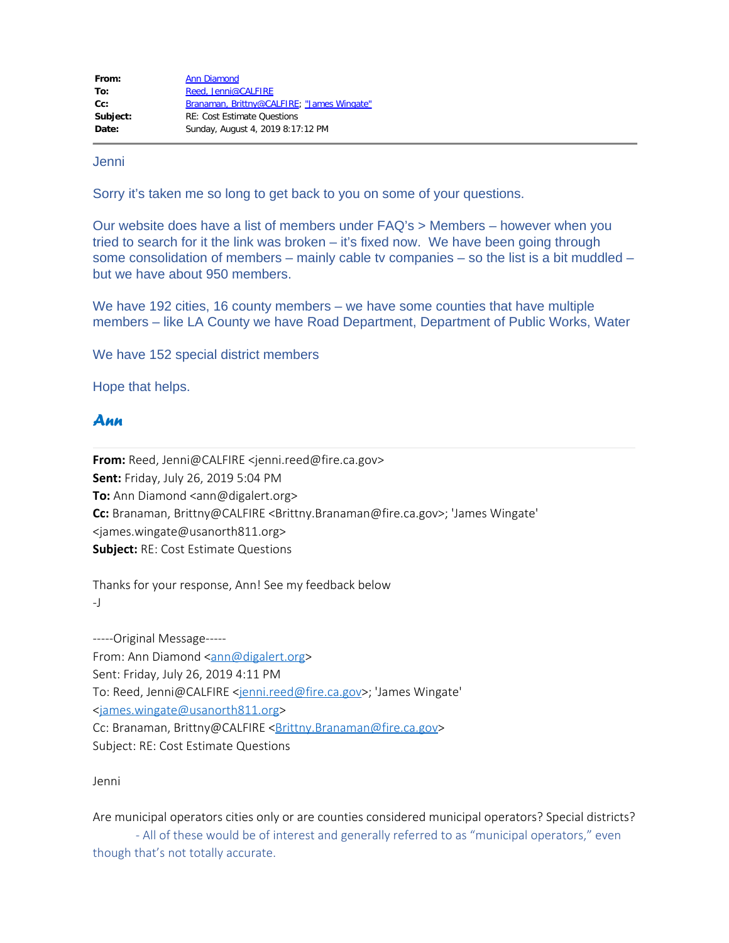| From:    | <b>Ann Diamond</b>                         |
|----------|--------------------------------------------|
| To:      | Reed. Jenni@CALFIRE                        |
| $Cc$ :   | Branaman, Brittny@CALFIRE; "James Wingate" |
| Subject: | <b>RE: Cost Estimate Ouestions</b>         |
| Date:    | Sunday, August 4, 2019 8:17:12 PM          |

Jenni

Sorry it's taken me so long to get back to you on some of your questions.

 Our website does have a list of members under FAQ's > Members – however when you tried to search for it the link was broken – it's fixed now. We have been going through some consolidation of members – mainly cable tv companies – so the list is a bit muddled – but we have about 950 members.

 We have 192 cities, 16 county members – we have some counties that have multiple members – like LA County we have Road Department, Department of Public Works, Water

We have 152 special district members

Hope that helps.

## *Ann*

**From:** Reed, Jenni@CALFIRE <jenni.reed@fire.ca.gov> **Sent:** Friday, July 26, 2019 5:04 PM **To:** Ann Diamond <ann@digalert.org> **Cc:** Branaman, Brittny@CALFIRE <Brittny.Branaman@fire.ca.gov>; 'James Wingate' <james.wingate@usanorth811.org> **Subject:** RE: Cost Estimate Questions

Thanks for your response, Ann! See my feedback below -J

-----Original Message----- From: Ann Diamond [<ann@digalert.org](mailto:ann@digalert.org)> Sent: Friday, July 26, 2019 4:11 PM To: Reed, Jenni@CALFIRE [<jenni.reed@fire.ca.gov](mailto:jenni.reed@fire.ca.gov)>; 'James Wingate' [<james.wingate@usanorth811.org](mailto:james.wingate@usanorth811.org)> Cc: Branaman, Brittny@CALFIRE < Brittny.Branaman@fire.ca.gov> Subject: RE: Cost Estimate Questions

Jenni

Are municipal operators cities only or are counties considered municipal operators? Special districts?

- All of these would be of interest and generally referred to as "municipal operators," even though that's not totally accurate.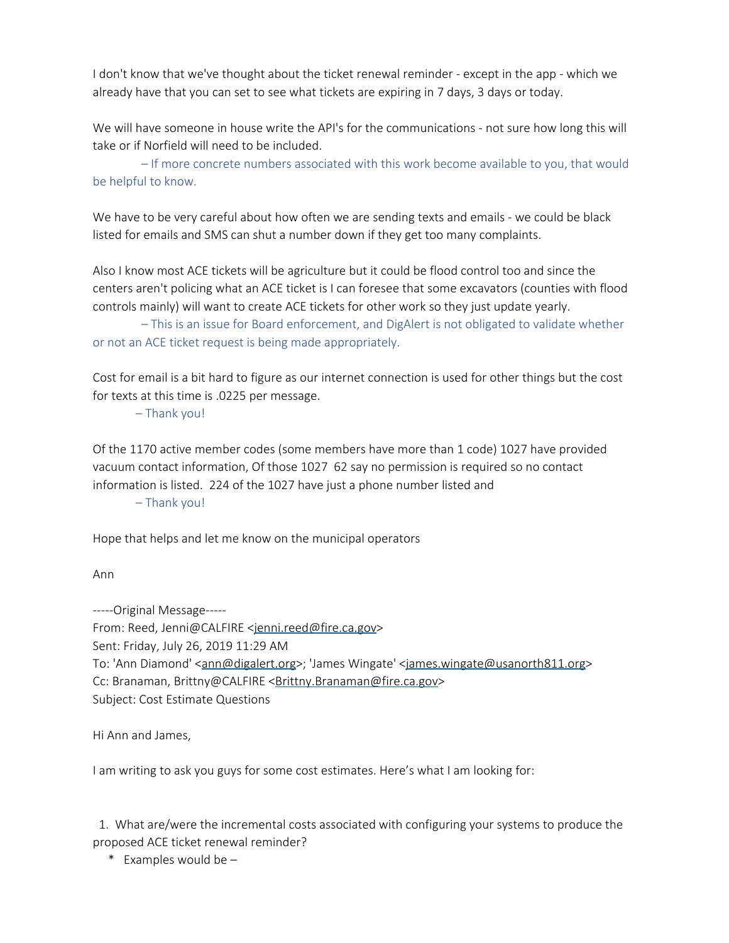I don't know that we've thought about the ticket renewal reminder - except in the app - which we already have that you can set to see what tickets are expiring in 7 days, 3 days or today.

We will have someone in house write the API's for the communications - not sure how long this will take or if Norfield will need to be included.

– If more concrete numbers associated with this work become available to you, that would be helpful to know.

We have to be very careful about how often we are sending texts and emails - we could be black listed for emails and SMS can shut a number down if they get too many complaints.

Also I know most ACE tickets will be agriculture but it could be flood control too and since the centers aren't policing what an ACE ticket is I can foresee that some excavators (counties with flood controls mainly) will want to create ACE tickets for other work so they just update yearly.

 – This is an issue for Board enforcement, and DigAlert is not obligated to validate whether or not an ACE ticket request is being made appropriately.

Cost for email is a bit hard to figure as our internet connection is used for other things but the cost for texts at this time is .0225 per message.

– Thank you!

Of the 1170 active member codes (some members have more than 1 code) 1027 have provided vacuum contact information, Of those 1027 62 say no permission is required so no contact information is listed. 224 of the 1027 have just a phone number listed and

– Thank you!

Hope that helps and let me know on the municipal operators

Ann

-----Original Message-----

From: Reed, Jenni@CALFIRE [<jenni.reed@fire.ca.gov](mailto:jenni.reed@fire.ca.gov)> Sent: Friday, July 26, 2019 11:29 AM To: 'Ann Diamond' [<ann@digalert.org](mailto:ann@digalert.org)>; 'James Wingate' [<james.wingate@usanorth811.org>](mailto:james.wingate@usanorth811.org) Cc: Branaman, Brittny@CALFIRE < Brittny.Branaman@fire.ca.gov> Subject: Cost Estimate Questions

Hi Ann and James,

I am writing to ask you guys for some cost estimates. Here's what I am looking for:

 1. What are/were the incremental costs associated with configuring your systems to produce the proposed ACE ticket renewal reminder?

\* Examples would be –